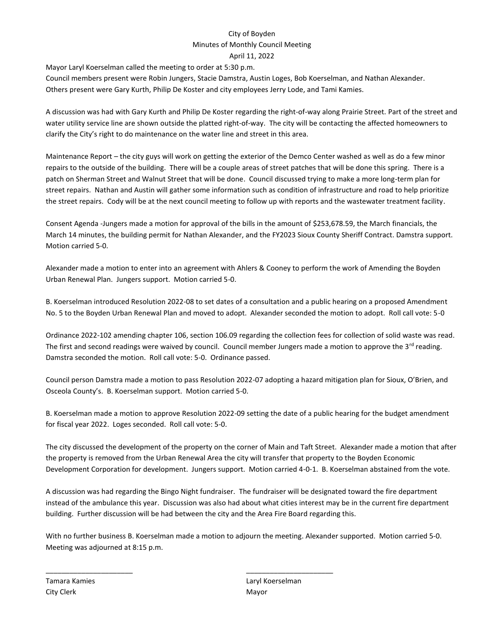## City of Boyden Minutes of Monthly Council Meeting April 11, 2022

Mayor Laryl Koerselman called the meeting to order at 5:30 p.m.

Council members present were Robin Jungers, Stacie Damstra, Austin Loges, Bob Koerselman, and Nathan Alexander. Others present were Gary Kurth, Philip De Koster and city employees Jerry Lode, and Tami Kamies.

A discussion was had with Gary Kurth and Philip De Koster regarding the right-of-way along Prairie Street. Part of the street and water utility service line are shown outside the platted right-of-way. The city will be contacting the affected homeowners to clarify the City's right to do maintenance on the water line and street in this area.

Maintenance Report – the city guys will work on getting the exterior of the Demco Center washed as well as do a few minor repairs to the outside of the building. There will be a couple areas of street patches that will be done this spring. There is a patch on Sherman Street and Walnut Street that will be done. Council discussed trying to make a more long-term plan for street repairs. Nathan and Austin will gather some information such as condition of infrastructure and road to help prioritize the street repairs. Cody will be at the next council meeting to follow up with reports and the wastewater treatment facility.

Consent Agenda -Jungers made a motion for approval of the bills in the amount of \$253,678.59, the March financials, the March 14 minutes, the building permit for Nathan Alexander, and the FY2023 Sioux County Sheriff Contract. Damstra support. Motion carried 5-0.

Alexander made a motion to enter into an agreement with Ahlers & Cooney to perform the work of Amending the Boyden Urban Renewal Plan. Jungers support. Motion carried 5-0.

B. Koerselman introduced Resolution 2022-08 to set dates of a consultation and a public hearing on a proposed Amendment No. 5 to the Boyden Urban Renewal Plan and moved to adopt. Alexander seconded the motion to adopt. Roll call vote: 5-0

Ordinance 2022-102 amending chapter 106, section 106.09 regarding the collection fees for collection of solid waste was read. The first and second readings were waived by council. Council member Jungers made a motion to approve the  $3^{rd}$  reading. Damstra seconded the motion. Roll call vote: 5-0. Ordinance passed.

Council person Damstra made a motion to pass Resolution 2022-07 adopting a hazard mitigation plan for Sioux, O'Brien, and Osceola County's. B. Koerselman support. Motion carried 5-0.

B. Koerselman made a motion to approve Resolution 2022-09 setting the date of a public hearing for the budget amendment for fiscal year 2022. Loges seconded. Roll call vote: 5-0.

The city discussed the development of the property on the corner of Main and Taft Street. Alexander made a motion that after the property is removed from the Urban Renewal Area the city will transfer that property to the Boyden Economic Development Corporation for development. Jungers support. Motion carried 4-0-1. B. Koerselman abstained from the vote.

A discussion was had regarding the Bingo Night fundraiser. The fundraiser will be designated toward the fire department instead of the ambulance this year. Discussion was also had about what cities interest may be in the current fire department building. Further discussion will be had between the city and the Area Fire Board regarding this.

With no further business B. Koerselman made a motion to adjourn the meeting. Alexander supported. Motion carried 5-0. Meeting was adjourned at 8:15 p.m.

\_\_\_\_\_\_\_\_\_\_\_\_\_\_\_\_\_\_\_\_\_\_ \_\_\_\_\_\_\_\_\_\_\_\_\_\_\_\_\_\_\_\_\_\_

City Clerk Mayor

Tamara Kamies **Laryl Koerselman**